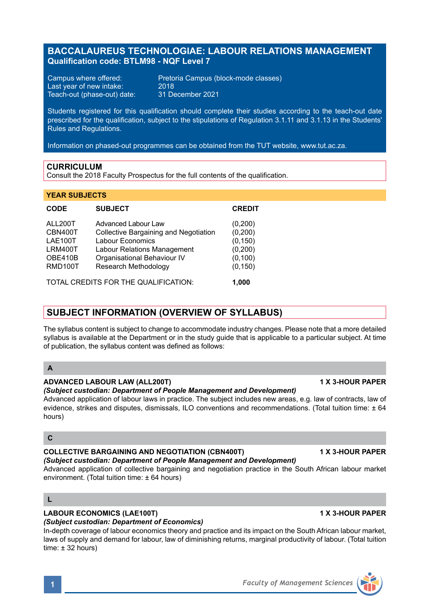# **BACCALAUREUS TECHNOLOGIAE: LABOUR RELATIONS MANAGEMENT Qualification code: BTLM98 - NQF Level 7**

Last year of new intake: 2018<br>Teach-out (phase-out) date: 31 December 2021 Teach-out (phase-out) date:

Campus where offered: Pretoria Campus (block-mode classes)<br>
Last vear of new intake: 2018

Students registered for this qualification should complete their studies according to the teach-out date prescribed for the qualification, subject to the stipulations of Regulation 3.1.11 and 3.1.13 in the Students' Rules and Regulations.

Information on phased-out programmes can be obtained from the TUT website, www.tut.ac.za.

## **CURRICULUM**

Consult the 2018 Faculty Prospectus for the full contents of the qualification.

### **YEAR SUBJECTS**

| <b>CODE</b>                                                           | <b>SUBJECT</b>                                                                                                                                 | <b>CREDIT</b>                                           |
|-----------------------------------------------------------------------|------------------------------------------------------------------------------------------------------------------------------------------------|---------------------------------------------------------|
| ALL200T<br>CBN400T<br>LAE100T<br>LRM400T<br>OBE410B<br><b>RMD100T</b> | Advanced Labour Law<br>Collective Bargaining and Negotiation<br>Labour Economics<br>Labour Relations Management<br>Organisational Behaviour IV | (0,200)<br>(0, 200)<br>(0, 150)<br>(0, 200)<br>(0, 100) |
|                                                                       | Research Methodology<br>$\overline{C}$                                                                                                         | (0, 150)<br>.                                           |

TOTAL CREDITS FOR THE QUALIFICATION: **1,000**

# **SUBJECT INFORMATION (OVERVIEW OF SYLLABUS)**

The syllabus content is subject to change to accommodate industry changes. Please note that a more detailed syllabus is available at the Department or in the study quide that is applicable to a particular subject. At time of publication, the syllabus content was defined as follows:

## **A**

### **ADVANCED LABOUR LAW (ALL200T) 1 X 3-HOUR PAPER**

*(Subject custodian: Department of People Management and Development)*

Advanced application of labour laws in practice. The subject includes new areas, e.g. law of contracts, law of evidence, strikes and disputes, dismissals, ILO conventions and recommendations. (Total tuition time: ± 64 hours)

### **C**

# **COLLECTIVE BARGAINING AND NEGOTIATION (CBN400T) 1 X 3-HOUR PAPER**

# *(Subject custodian: Department of People Management and Development)*

Advanced application of collective bargaining and negotiation practice in the South African labour market environment. (Total tuition time: ± 64 hours)

### **L**

# **LABOUR ECONOMICS (LAE100T) 1 X 3-HOUR PAPER**

## *(Subject custodian: Department of Economics)*

In-depth coverage of labour economics theory and practice and its impact on the South African labour market, laws of supply and demand for labour, law of diminishing returns, marginal productivity of labour. (Total tuition  $time: + 32 hours$ 

**1** *Faculty of Management Sciences*